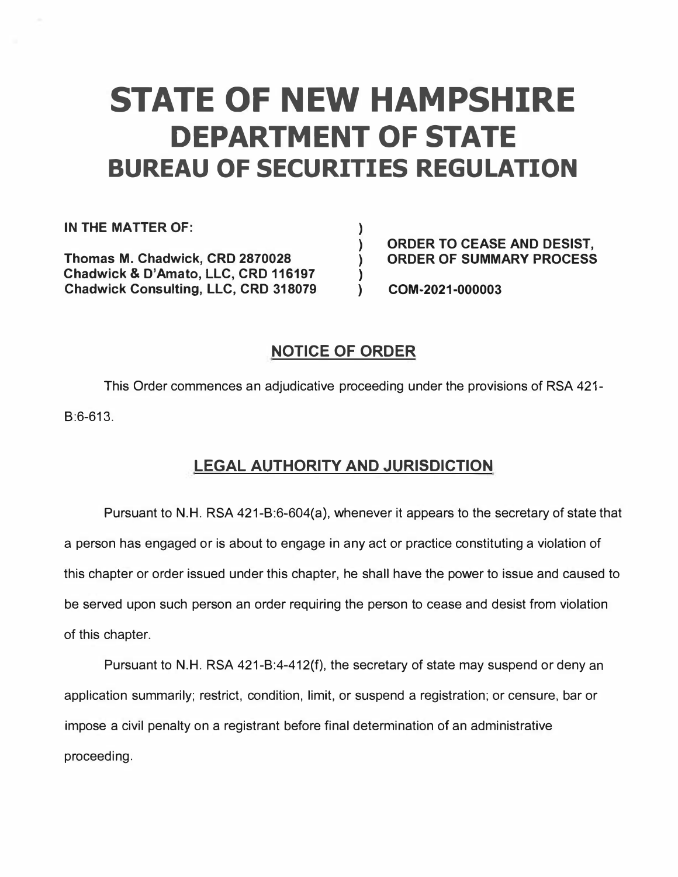# **STATE OF NEW HAMPSHIRE DEPARTMENT OF STATE BUREAU OF SECURITIES REGULATION**

**)** 

**)** 

**IN THE MATTER OF:** 

**Thomas M. Chadwick, CRD 2870028 Chadwick & D'Amato, LLC, CRD 116197 Chadwick Consulting, LLC, CRD 318079**  **) ORDER TO CEASE AND DESIST, ) ORDER OF SUMMARY PROCESS** 

**) COM-2021-000003** 

# **NOTICE OF ORDER**

This Order commences an adjudicative proceeding under the provisions of RSA 421- B:6-613.

# **LEGAL AUTHORITY AND JURISDICTION**

Pursuant to N.H. RSA 421-B:6-604(a), whenever it appears to the secretary of state that a person has engaged or is about to engage in any act or practice constituting a violation of this chapter or order issued under this chapter, he shall have the power to issue and caused to be served upon such person an order requiring the person to cease and desist from violation of this chapter.

Pursuant to N.H. RSA 421-B:4-412(f), the secretary of state may suspend or deny an application summarily; restrict, condition, limit, or suspend a registration; or censure, bar or impose a civil penalty on a registrant before final determination of an administrative proceeding.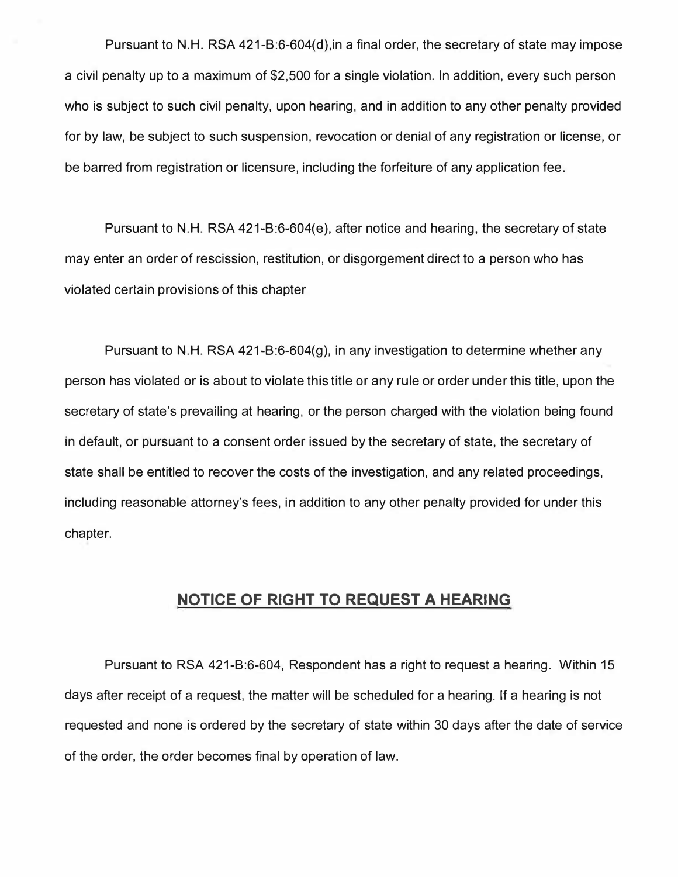**Pursuant to N.H. RSA 421-B:6-604(d),in a final order, the secretary of state may impose a civil penalty up to a maximum of \$2,500 for a single violation. In addition, every such person who is subject to such civil penalty, upon hearing, and in addition to any other penalty provided for by law, be subject to such suspension, revocation or denial of any registration or license, or be barred from registration or licensure, including the forfeiture of any application fee.** 

**Pursuant to N.H. RSA 421-B:6-604(e), after notice and hearing, the secretary of state may enter an order of rescission, restitution, or disgorgement direct to a person who has violated certain provisions of this chapter** 

**Pursuant to N.H. RSA 421-B:6-604(g), in any investigation to determine whether any person has violated or is about to violate this title or any rule or order under this title, upon the secretary of state's prevailing at hearing, or the person charged with the violation being found in default, or pursuant to a consent order issued by the secretary of state, the secretary of state shall be entitled to recover the costs of the investigation, and any related proceedings, including reasonable attorney's fees, in addition to any other penalty provided for under this chapter.** 

## **NOTICE OF RIGHT TO REQUEST A HEARING**

**Pursuant to RSA 421-B:6-604, Respondent has a right to request a hearing. Within 15 days after receipt of a request, the matter will be scheduled for a hearing. If a hearing is not**  requested and none is ordered by the secretary of state within 30 days after the date of service **of the order, the order becomes final by operation of law.**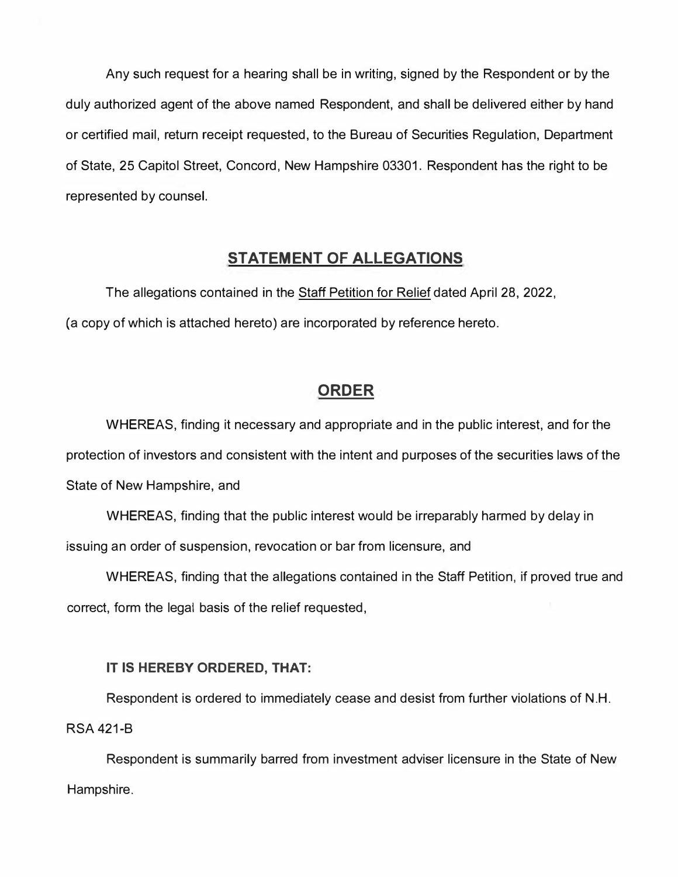**Any such request for a hearing shall be in writing, signed by the Respondent or by the duly authorized agent of the above named Respondent, and shall be delivered either by hand or certified mail, return receipt requested, to the Bureau of Securities Regulation, Department of State, 25 Capitol Street, Concord, New Hampshire 03301. Respondent has the right to be represented by counsel.** 

# **STATEMENT OF ALLEGATIONS**

**The allegations contained in the Staff Petition for Relief dated April 28, 2022, (a copy of which is attached hereto) are incorporated by reference hereto.** 

# **ORDER**

**WHEREAS, finding it necessary and appropriate and in the public interest, and for the protection of investors and consistent with the intent and purposes of the securities laws of the State of New Hampshire, and** 

**WHEREAS, finding that the public interest would be irreparably harmed by delay in issuing an order of suspension, revocation or bar from licensure, and** 

**WHEREAS, finding that the allegations contained in the Staff Petition, if proved true and correct, form the legal basis of the relief requested,** 

## **IT IS HEREBY ORDERED, THAT:**

**Respondent is ordered to immediately cease and desist from further violations of N.H. RSA 421-B** 

**Respondent is summarily barred from investment adviser licensure in the State of New Hampshire.**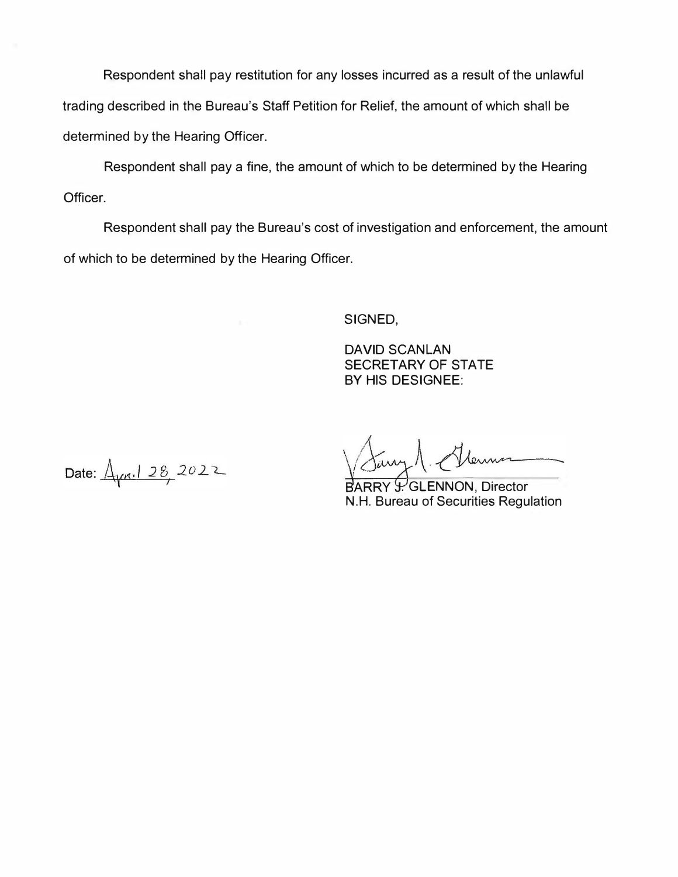**Respondent shall pay restitution for any losses incurred as a result of the unlawful trading described in the Bureau's Staff Petition for Relief, the amount of which shall be determined by the Hearing Officer.** 

**Respondent shall pay a fine, the amount of which to be determined by the Hearing Officer.** 

**Respondent shall pay the Bureau's cost of investigation and enforcement, the amount of which to be determined by the Hearing Officer.** 

**SIGNED,** 

**DAVID SCANLAN SECRETARY OF STATE BY HIS DESIGNEE:** 

Date:  $\frac{\Delta_{\text{max}}}{28}$  2022

Lerme

**BARRY Y. GLENNON, Director N.H. Bureau of Securities Regulation**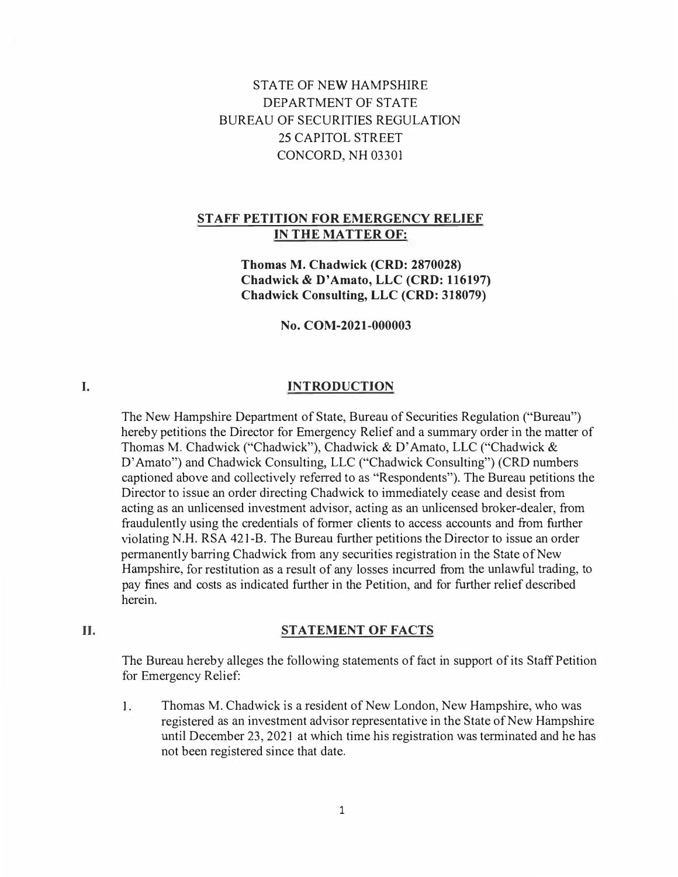STATE OF NEW HAMPSHIRE DEPARTMENT OF STATE BUREAU OF SECURITIES REGULATION 25 CAPITOL STREET CONCORD, NH 03301

#### **STAFF PETITION FOR EMERGENCY RELIEF IN THE MATTER OF:**

**Thomas M. Chadwick (CRD: 2870028) Chadwick & D' Amato, LLC (CRD: 116197) Chadwick Consulting, LLC (CRD: 318079)** 

**No. COM-2021-000003** 

### **INTRODUCTION**

The New Hampshire Department of State, Bureau of Securities Regulation ("Bureau") hereby petitions the Director for Emergency Relief and a summary order in the matter of Thomas M. Chadwick ("Chadwick"), Chadwick & D' Amato, LLC ("Chadwick & D' Amato") and Chadwick Consulting, LLC ("Chadwick Consulting") (CRD numbers captioned above and collectively referred to as "Respondents"). The Bureau petitions the Director to issue an order directing Chadwick to immediately cease and desist from acting as an unlicensed investment advisor, acting as an unlicensed broker-dealer, from fraudulently using the credentials of former clients to access accounts and from further violating N.H. RSA 421-B. The Bureau further petitions the Director to issue an order permanently barring Chadwick from any securities registration in the State of New Hampshire, for restitution as a result of any losses incurred from the unlawful trading, to pay fines and costs as indicated further in the Petition, and for further relief described herein.

#### **II.**

**I.** 

#### **STATEMENT OF FACTS**

The Bureau hereby alleges the following statements of fact in support of its Staff Petition for Emergency Relief:

1. Thomas M. Chadwick is a resident of New London, New Hampshire, who was registered as an investment advisor representative in the State of New Hampshire until December 23, 2021 at which time his registration was terminated and he has not been registered since that date.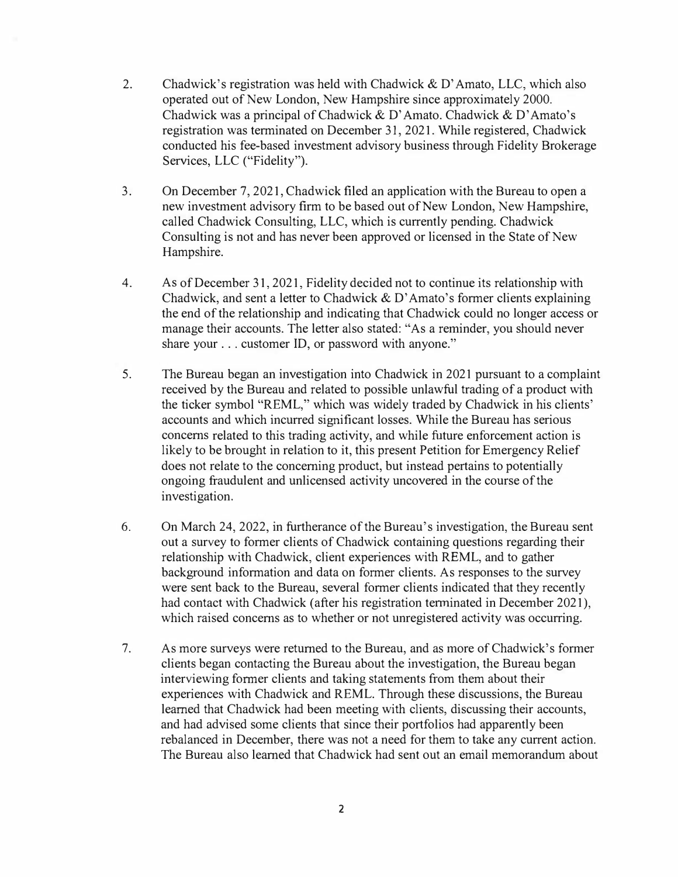- **2. Chadwick's registration was held with Chadwick & D' Amato, LLC, which also operated out of New London, New Hampshire since approximately 2000.**  Chadwick was a principal of Chadwick & D'Amato. Chadwick & D'Amato's **registration was terminated on December 31, 2021. While registered, Chadwick conducted his fee-based investment advisory business through Fidelity Brokerage**  Services, LLC ("Fidelity").
- **3. On December 7, 2021, Chadwick filed an application with the Bureau to open a new investment advisory firm to be based out of New London, New Hampshire, called Chadwick Consulting, LLC, which is currently pending. Chadwick Consulting is not and has never been approved or licensed in the State of New Hampshire.**
- **4. As of December 31, 2021, Fidelity decided not to continue its relationship with Chadwick, and sent a letter to Chadwick & D' Amato's former clients explaining the end of the relationship and indicating that Chadwick could no longer access or manage their accounts. The letter also stated: "As a reminder, you should never share your ... customer ID, or password with anyone."**
- **5. The Bureau began an investigation into Chadwick in 2021 pursuant to a complaint received by the Bureau and related to possible unlawful trading of a product with the ticker symbol "REML," which was widely traded by Chadwick in his clients' accounts and which incurred si**gn**ificant losses. While the Bureau has serious concerns related to this trading activity, and while future enforcement action is likely to be brought in relation to it, this present Petition for Emergency Relief does not relate to the concerning product, but instead pertains to potentially ongoing fraudulent and unlicensed activity uncovered in the course of the investigation.**
- **6. On March 24, 2022, in furtherance of the Bureau's investigation, the Bureau sent out a survey to former clients of Chadwick containing questions regarding their relationship with Chadwick, client experiences with REML, and to gather background information and data on former clients. As responses to the survey were sent back to the Bureau, several former clients indicated that they recently had contact with Chadwick (after his registration tenninated in December 2021), which raised concerns as to whether or not unregistered activity was occurring.**
- **7. As more surveys were returned to the Bureau, and as more of Chadwick's former clients began contacting the Bureau about the investigation, the Bureau began interviewing fonner clients and taking statements from them about their experiences with Chadwick and REML. Through these discussions, the Bureau learned that Chadwick had been meeting with clients, discussing their accounts, and had advised some clients that since their portfolios had apparently been rebalanced in December, there was not a need for them to take any current action. The Bureau also learned that Chadwick had sent out an email memorandum about**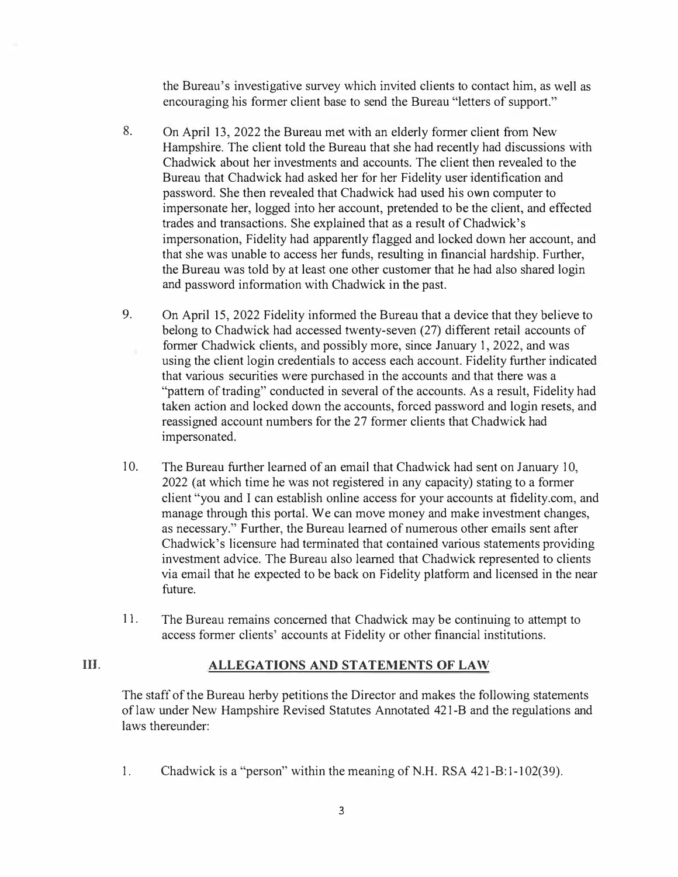**the Bureau's investigative survey which invited clients to contact him, as well as encouraging his former client base to send the Bureau "letters of support."** 

- **8. On April 13, 2022 the Bureau met with an elderly former client from New Hampshire. The client told the Bureau that she had recently had discussions with Chadwick about her investments and accounts. The client then revealed to the Bureau that Chadwick had asked her for her Fidelity user identification and password. She then revealed that Chadwick had used his own computer to impersonate her, logged into her account, pretended to be the client, and effected trades and transactions. She explained that as a result of Chadwick's impersonation, Fidelity had apparently flagged and locked down her account, and that she was unable to access her funds, resulting in financial hardship. Further, the Bureau was told by at least one other customer that he had also shared login and password information with Chadwick in the past.**
- 9. **On April 15, 2022 Fidelity informed the Bureau that a device that they believe to belong to Chadwick had accessed twenty-seven (27) different retail accounts of former Chadwick clients, and possibly more, since January 1, 2022, and was using the client login credentials to access each account. Fidelity further indicated that various securities were purchased in the accounts and that there was a**  "pattern of trading" conducted in several of the accounts. As a result, Fidelity had **taken action and locked down the accounts, forced password and login resets, and reassigned account numbers for the 27 former clients that Chadwick had impersonated.**
- **10. The Bureau further learned of an email that Chadwick had sent on January 10, 2022 (at which time he was not registered in any capacity) stating to a former client "you and I can establish online access for your accounts at fidelity.com, and manage through this portal. We can move money and make investment changes, as necessary." Further, the Bureau learned of numerous other emails sent after Chadwick's licensure had terminated that contained various statements providing investment advice. The Bureau also learned that Chadwick represented to clients via email that he expected to be back on Fidelity platform and licensed in the near future.**
- **11. The Bureau remains concerned that Chadwick may be continuing to attempt to access former clients' accounts at Fidelity or other financial institutions.**

#### **III. ALLEGATIONS AND STATEMENTS OF LAW**

**The staff of the Bureau herby petitions the Director and makes the following statements of law under New Hampshire Revised Statutes Annotated 421-B and the regulations and laws thereunder:** 

**1. Chadwick is a "person" within the meaning of N.H. RSA 421-B: 1-102(39).**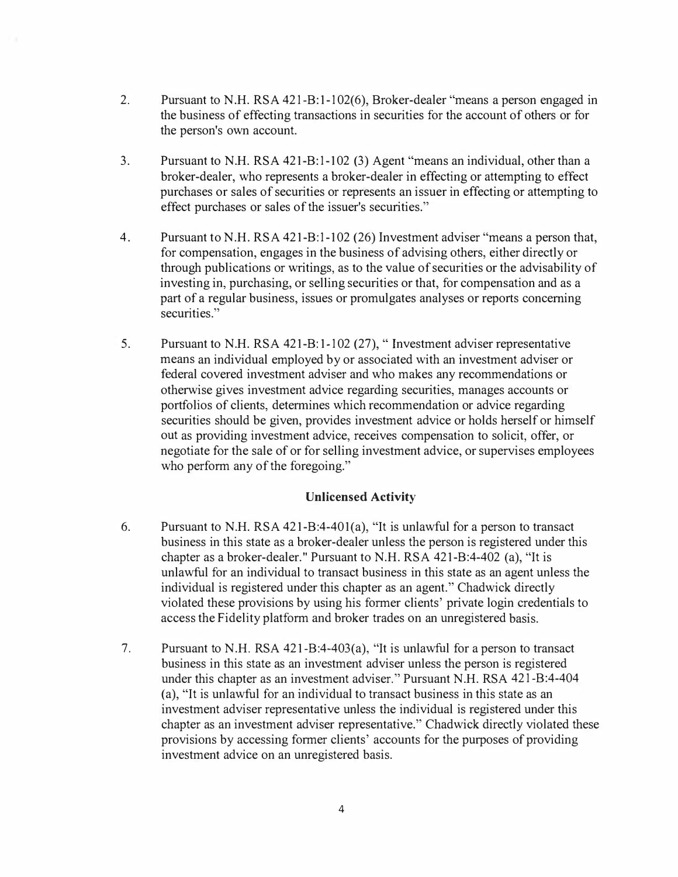- **2. Pursuant to N.H. RSA 421-B:1-102(6), Broker-dealer "means a person engaged in the business of effecting transactions in securities for the account of others or for the person's own account.**
- **3. Pursuant to N.H. RSA 421-B:1-102 (3) Agent "means an individual, other than a broker-dealer, who represents a broker-dealer in effecting or attempting to effect purchases or sales of securities or represents an issuer in effecting or attempting to effect purchases or sales of the issuer's securities."**
- **4. Pursuant to N.H. RSA 421-B:1-102 (26) Investment adviser "means a person that, for compensation, engages in the business of advising others, either directly or through publications or writings, as to the value of securities or the advisability of investing in, purchasing, or selling securities or that, for compensation and as a part of a regular business, issues or promulgates analyses or reports concerning securities. "**
- **5. Pursuant to N.H. RSA 421-B: 1-102 (27), " Investment adviser representative means an individual employed by or associated with an investment adviser or federal covered investment adviser and who makes any recommendations or otherwise gives investment advice regarding securities, manages accounts or portfolios of clients, determines which recommendation or advice regarding securities should be given, provides investment advice or holds herself or himself out as providing investment advice, receives compensation to solicit, offer, or negotiate for the sale of or for selling investment advice, or supervises employees who perform any of the foregoing."**

#### **Unlicensed Activity**

- **6. Pursuant to N.H. RSA 421-B:4-401(a), "It is unlawful for a person to transact business in this state as a broker-dealer unless the person is registered under this chapter as a broker-dealer. " Pursuant to N.H. RSA 421-B:4-402 (a), "It is unlawful for an individual to transact business in this state as an agent unless the individual is registered under this chapter as an agent. " Chadwick directly violated these provisions by using his former clients' private login credentials to access the Fidelity platform and broker trades on an unregistered basis.**
- **7. Pursuant to N.H. RSA 421-B:4-403(a), "It is unlawful for a person to transact business in this state as an investment adviser unless the person is registered under this chapter as an investment adviser. " Pursuant N.H. RSA 421-B:4-404 (a), "It is unlawful for an individual to transact business in this state as an investment adviser representative unless the individual is registered under this chapter as an investment adviser representative." Chadwick directly violated these provisions by accessing former clients' accounts for the purposes of providing investment advice on an unregistered basis.**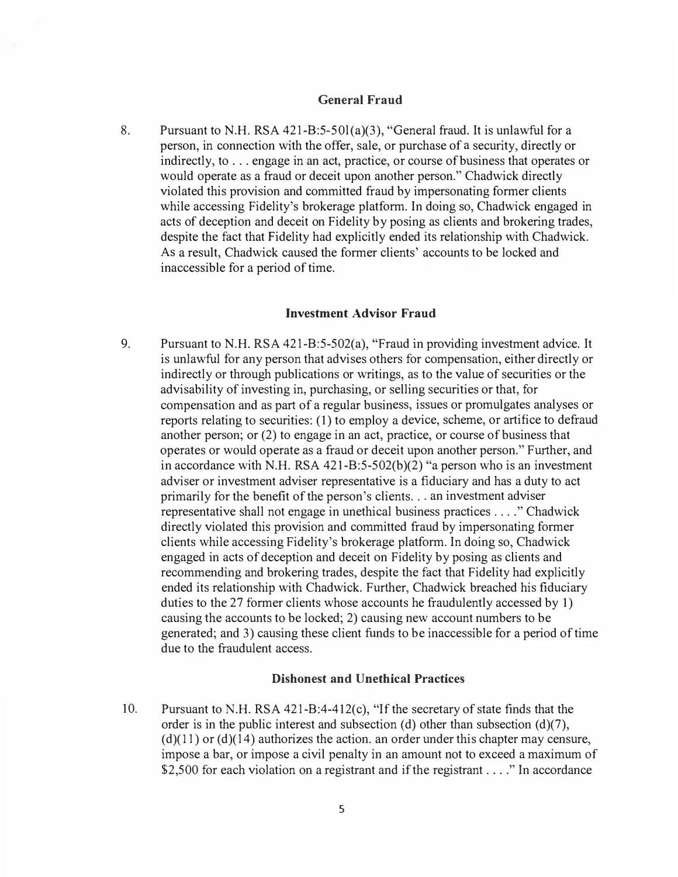#### **General Fraud**

**8. Pursuant to N. H. RSA 421-B:5-50l(a)(3), "General fraud. It is unlawful for a person, in connection with the offer, sale, or purchase of a security, directly or indirectly, to ... engage in an act, practice, or course of business that operates or would operate as a fraud or deceit upon another person." Chadwick directly violated this provision and committed fraud by impersonating former clients while accessing Fidelity's brokerage platform. In doing so, Chadwick engaged in acts of deception and deceit on Fidelity by posing as clients and brokering trades, despite the fact that Fidelity had explicitly ended its relationship with Chadwick. As a result, Chadwick caused the former clients' accounts to be locked and inaccessible for a period of time.** 

#### **Investment Advisor Fraud**

**9. Pursuant to N.H. RSA 421-B:5-502(a), "Fraud in providing investment advice. It is unlawful for any person that advises others for compensation, either directly or indirectly or through publications or writings, as to the value of securities or the advisability of investing in, purchasing, or selling securities or that, for compensation and as part of a regular business, issues or promulgates analyses or reports relating to securities: (1) to employ a device, scheme, or artifice to defraud another person; or (2) to engage in an act, practice, or course of business that operates or would operate as a fraud or deceit upon another person." Further, and**  in accordance with N.H. RSA  $421-B:5-502(b)(2)$  "a person who is an investment **adviser or investment adviser representative is a fiduciary and has a duty to act primarily for the benefit of the person's clients .. . an investment adviser representative shall not engage in unethical business practices .. .. " Chadwick directly violated this provision and committed fraud by impersonating former clients while accessing Fidelity's brokerage platform. In doing so, Chadwick engaged in acts of deception and deceit on Fidelity by posing as clients and recommending and brokering trades, despite the fact that Fidelity had explicitly ended its relationship with Chadwick. Further, Chadwick breached his fiduciary duties to the 27 former clients whose accounts he fraudulently accessed by 1) causing the accounts to be locked; 2) causing new account numbers to be generated; and 3) causing these client funds to be inaccessible for a period of time due to the fraudulent access.** 

#### **Dishonest and Unethical Practices**

**10. Pursuant to N.H. RSA 421-B:4-412(c), "If the secretary of state finds that the**  order is in the public interest and subsection (d) other than subsection (d)(7),  $(d)(11)$  or  $(d)(14)$  authorizes the action. an order under this chapter may censure, **impose a bar, or impose a civil penalty in an amount not to exceed a maximum of \$2,500 for each violation on a registrant and if the registrant . ... " In accordance**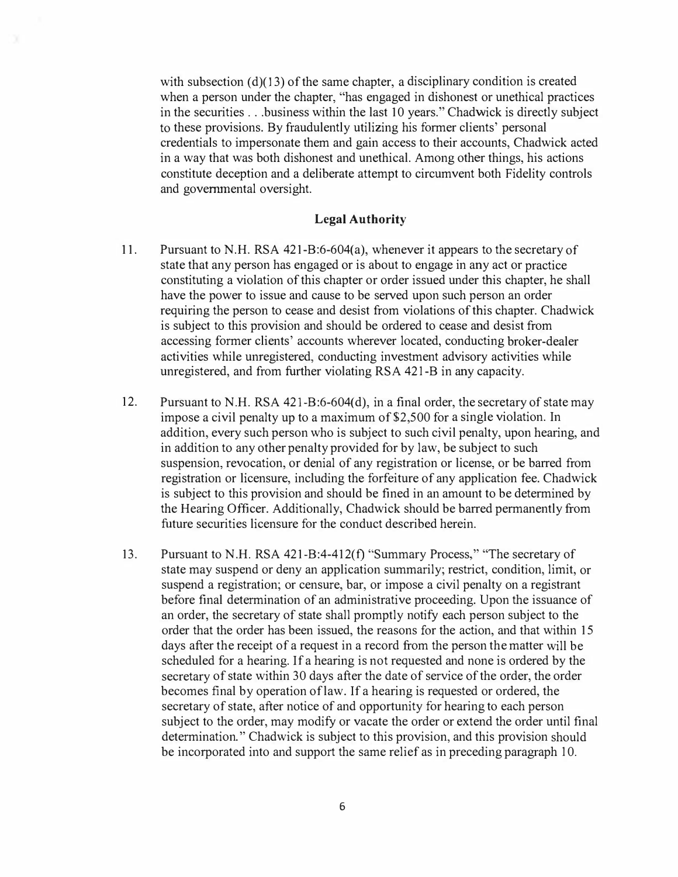with subsection (d)(13) of the same chapter, a disciplinary condition is created **when a person under the chapter, "has engaged in dishonest or unethical practices in the securities . .. business within the last 10 years." Chadwick is directly subject to these provisions. By fraudulently utilizing his former clients' personal credentials to impersonate them and gain access to their accounts, Chadwick acted in a way that was both dishonest and unethical. Among other things, his actions constitute deception and a deliberate attempt to circumvent both Fidelity controls and governmental oversight.** 

#### **Legal Authority**

- **11. Pursuant to N.H. RSA 421-B:6-604(a), whenever it appears to the secretary of state that any person has engaged or is about to engage in any act or practice constituting a violation of this chapter or order issued under this chapter, he shall have the power to issue and cause to be served upon such person an order requiring the person to cease and desist from violations of this chapter. Chadwick is subject to this provision and should be ordered to cease and desist from accessing former clients' accounts wherever located, conducting broker-dealer activities while unregistered, conducting investment advisory activities while unregistered, and from further violating RSA 421-B in any capacity.**
- **12. Pursuant to N.H. RSA 421-B:6-604(d), in a final order, the secretary of state may impose a civil penalty up to a maximum of \$2,500 for a single violation. In addition, every such person who is subject to such civil penalty, upon hearing, and in addition to any other penalty provided for by law, be subject to such suspension, revocation, or denial of any registration or license, or be barred from registration or licensure, including the forfeiture of any application fee. Chadwick is subject to this provision and should be fined in an amount to be determined by the Hearing Officer. Additionally, Chadwick should be barred permanently from future securities licensure for the conduct described herein.**
- **13. Pursuant to N.H. RSA 421-B:4-412(f) "Summary Process," "The secretary of state may suspend or deny an application summarily; restrict, condition, limit, or suspend a registration; or censure, bar, or impose a civil penalty on a registrant before final determination of an administrative proceeding. Upon the issuance of an order, the secretary of state shall promptly notify each person subject to the order that the order has been issued, the reasons for the action, and that within 15 days after the receipt of a request in a record from the person the matter will be scheduled for a hearing. If a hearing is not requested and none is ordered by the secretary of state within 30 days after the date of service of the order, the order becomes final by operation oflaw. If a hearing is requested or ordered, the secretary of state, after notice of and opportunity for hearing to each person subject to the order, may modify or vacate the order or extend the order until final determination." Chadwick is subject to this provision, and this provision should be incorporated into and support the same relief as in preceding paragraph 10.**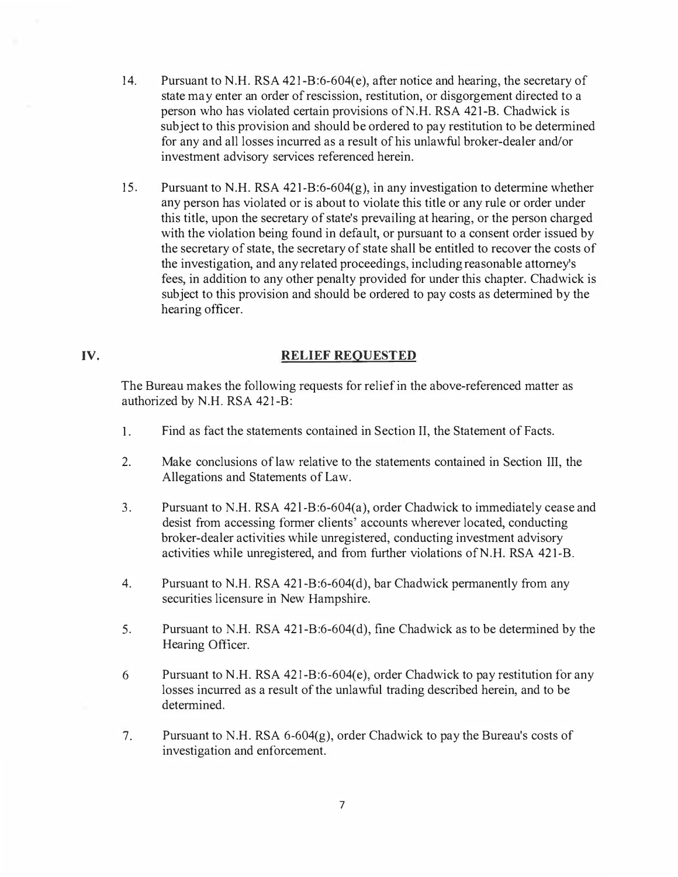- **14. Pursuant to N.H. RSA 421-B:6-604(e), after notice and hearing, the secretary of state may enter an order of rescission, restitution, or disgorgement directed to a person who has violated certain provisions ofN.H. RSA 421-B. Chadwick is subject to this provision and should be ordered to pay restitution to be determined for any and all losses incurred as a result of his unlawful broker-dealer and/or investment advisory services referenced herein.**
- **15. Pursuant to N.H. RSA 421-B:6-604(g), in any investigation to determine whether any person has violated or is about to violate this title or any rule or order under this title, upon the secretary of state's prevailing at hearing, or the person charged with the violation being found in default, or pursuant to a consent order issued by the secretary of state, the secretary of state shall be entitled to recover the costs of the investigation, and any related proceedings, including reasonable attorney's fees, in addition to any other penalty provided for under this chapter. Chadwick is subject to this provision and should be ordered to pay costs as determined by the hearing officer.**

#### **IV. RELIEF REQUESTED**

**The Bureau makes the following requests for relief in the above-referenced matter as authorized by N.H. RSA 421-B:** 

- **1. Find as fact the statements contained in Section II, the Statement of Facts.**
- **2. Make conclusions of law relative to the statements contained in Section III, the Allegations and Statements of Law.**
- **3. Pursuant to N.H. RSA 42 l -B:6-604(a), order Chadwick to immediately cease and desist from accessing former clients' accounts wherever located, conducting broker-dealer activities while unregistered, conducting investment advisory activities while unregistered, and from further violations ofN. H. RSA 421-B.**
- **4. Pursuant to N.H. RSA 421-B:6-604(d), bar Chadwick permanently from any securities licensure in New Hampshire.**
- **5. Pursuant to N.H. RSA 421-B:6-604(d), fine Chadwick as to be detennined by the Hearing Officer.**
- **6 Pursuant to N .H. RSA 42 l -B:6-604( e ), order Chadwick to pay restitution for any losses incurred as a result of the unlawful trading described herein, and to be determined.**
- **7. Pursuant to N.H. RSA 6-604(g), order Chadwick to pay the Bureau's costs of investigation and enforcement.**